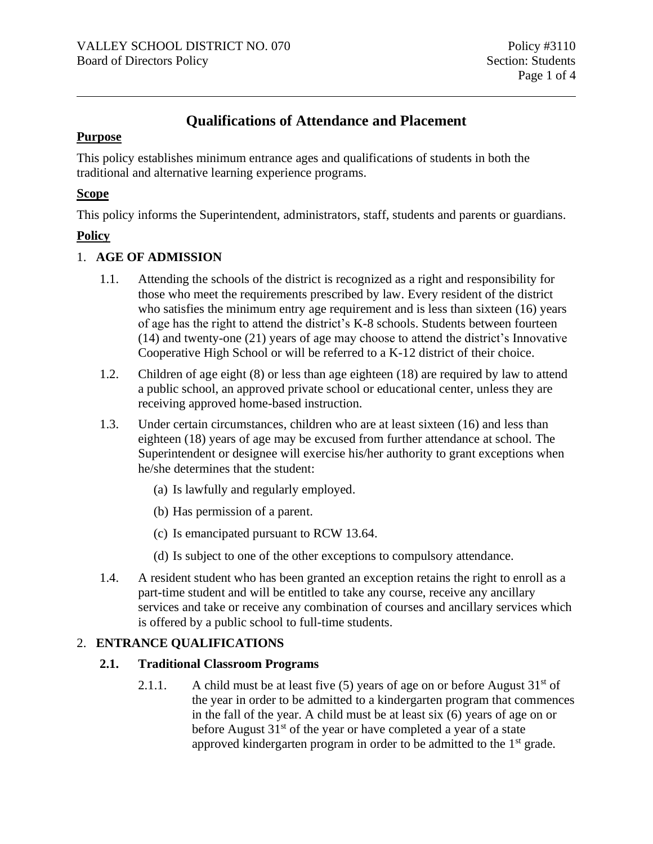# **Qualifications of Attendance and Placement**

#### **Purpose**

This policy establishes minimum entrance ages and qualifications of students in both the traditional and alternative learning experience programs.

#### **Scope**

This policy informs the Superintendent, administrators, staff, students and parents or guardians.

# **Policy**

# 1. **AGE OF ADMISSION**

- 1.1. Attending the schools of the district is recognized as a right and responsibility for those who meet the requirements prescribed by law. Every resident of the district who satisfies the minimum entry age requirement and is less than sixteen (16) years of age has the right to attend the district's K-8 schools. Students between fourteen (14) and twenty-one (21) years of age may choose to attend the district's Innovative Cooperative High School or will be referred to a K-12 district of their choice.
- 1.2. Children of age eight (8) or less than age eighteen (18) are required by law to attend a public school, an approved private school or educational center, unless they are receiving approved home-based instruction.
- 1.3. Under certain circumstances, children who are at least sixteen (16) and less than eighteen (18) years of age may be excused from further attendance at school. The Superintendent or designee will exercise his/her authority to grant exceptions when he/she determines that the student:
	- (a) Is lawfully and regularly employed.
	- (b) Has permission of a parent.
	- (c) Is emancipated pursuant to RCW 13.64.
	- (d) Is subject to one of the other exceptions to compulsory attendance.
- 1.4. A resident student who has been granted an exception retains the right to enroll as a part-time student and will be entitled to take any course, receive any ancillary services and take or receive any combination of courses and ancillary services which is offered by a public school to full-time students.

# 2. **ENTRANCE QUALIFICATIONS**

# **2.1. Traditional Classroom Programs**

2.1.1. A child must be at least five (5) years of age on or before August  $31<sup>st</sup>$  of the year in order to be admitted to a kindergarten program that commences in the fall of the year. A child must be at least six (6) years of age on or before August  $31<sup>st</sup>$  of the year or have completed a year of a state approved kindergarten program in order to be admitted to the  $1<sup>st</sup>$  grade.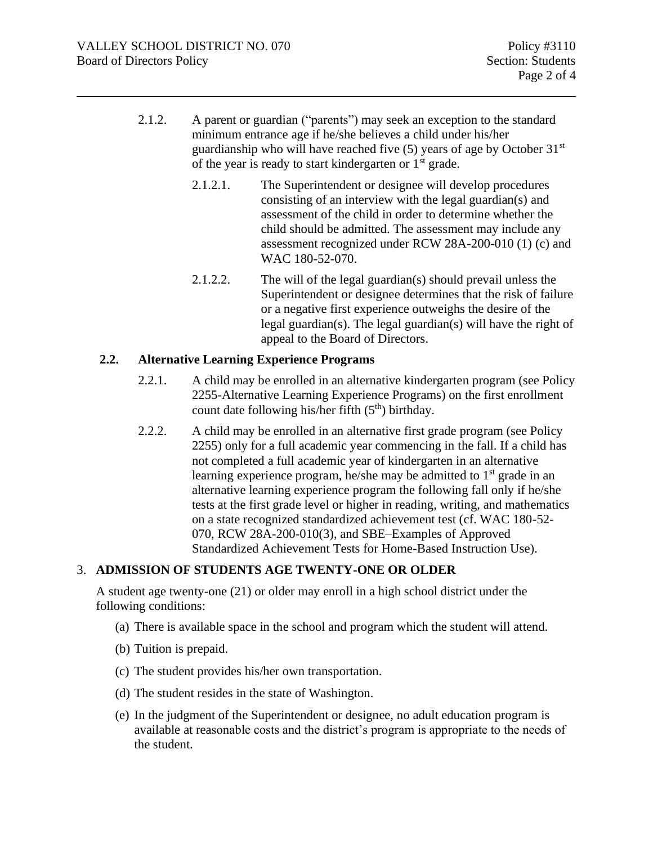- 2.1.2. A parent or guardian ("parents") may seek an exception to the standard minimum entrance age if he/she believes a child under his/her guardianship who will have reached five  $(5)$  years of age by October  $31<sup>st</sup>$ of the year is ready to start kindergarten or  $1<sup>st</sup>$  grade.
	- 2.1.2.1. The Superintendent or designee will develop procedures consisting of an interview with the legal guardian(s) and assessment of the child in order to determine whether the child should be admitted. The assessment may include any assessment recognized under RCW 28A-200-010 (1) (c) and WAC 180-52-070.
	- 2.1.2.2. The will of the legal guardian(s) should prevail unless the Superintendent or designee determines that the risk of failure or a negative first experience outweighs the desire of the legal guardian(s). The legal guardian(s) will have the right of appeal to the Board of Directors.

#### **2.2. Alternative Learning Experience Programs**

- 2.2.1. A child may be enrolled in an alternative kindergarten program (see Policy 2255-Alternative Learning Experience Programs) on the first enrollment count date following his/her fifth  $(5<sup>th</sup>)$  birthday.
- 2.2.2. A child may be enrolled in an alternative first grade program (see Policy 2255) only for a full academic year commencing in the fall. If a child has not completed a full academic year of kindergarten in an alternative learning experience program, he/she may be admitted to  $1<sup>st</sup>$  grade in an alternative learning experience program the following fall only if he/she tests at the first grade level or higher in reading, writing, and mathematics on a state recognized standardized achievement test (cf. WAC 180-52- 070, RCW 28A-200-010(3), and SBE–Examples of Approved Standardized Achievement Tests for Home-Based Instruction Use).

# 3. **ADMISSION OF STUDENTS AGE TWENTY-ONE OR OLDER**

A student age twenty-one (21) or older may enroll in a high school district under the following conditions:

- (a) There is available space in the school and program which the student will attend.
- (b) Tuition is prepaid.
- (c) The student provides his/her own transportation.
- (d) The student resides in the state of Washington.
- (e) In the judgment of the Superintendent or designee, no adult education program is available at reasonable costs and the district's program is appropriate to the needs of the student.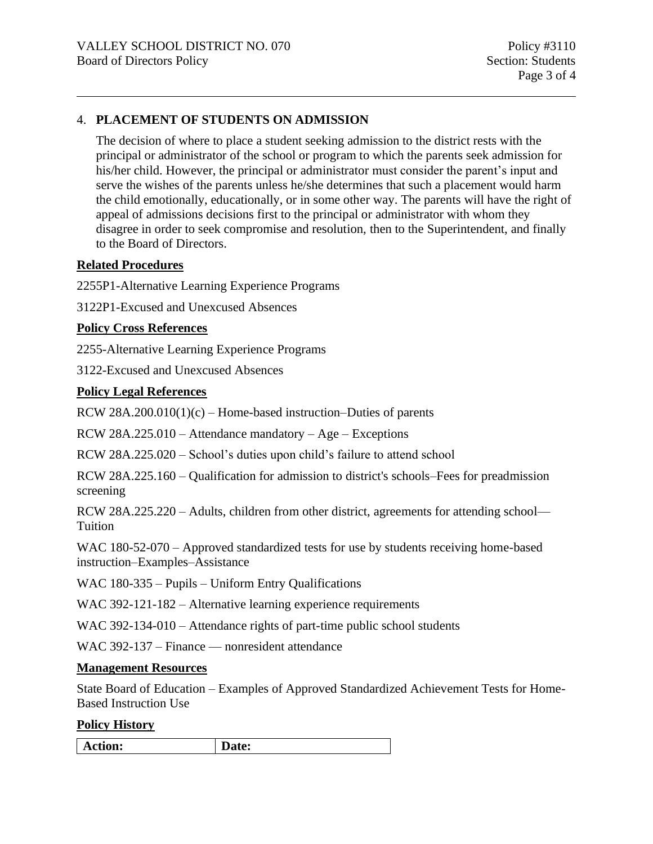# 4. **PLACEMENT OF STUDENTS ON ADMISSION**

The decision of where to place a student seeking admission to the district rests with the principal or administrator of the school or program to which the parents seek admission for his/her child. However, the principal or administrator must consider the parent's input and serve the wishes of the parents unless he/she determines that such a placement would harm the child emotionally, educationally, or in some other way. The parents will have the right of appeal of admissions decisions first to the principal or administrator with whom they disagree in order to seek compromise and resolution, then to the Superintendent, and finally to the Board of Directors.

#### **Related Procedures**

2255P1-Alternative Learning Experience Programs

3122P1-Excused and Unexcused Absences

#### **Policy Cross References**

2255-Alternative Learning Experience Programs

3122-Excused and Unexcused Absences

#### **Policy Legal References**

RCW 28A.200.010(1) $(c)$  – Home-based instruction–Duties of parents

RCW 28A.225.010 – Attendance mandatory – Age – Exceptions

RCW 28A.225.020 – School's duties upon child's failure to attend school

RCW 28A.225.160 – Qualification for admission to district's schools–Fees for preadmission screening

RCW 28A.225.220 – Adults, children from other district, agreements for attending school— Tuition

WAC 180-52-070 – Approved standardized tests for use by students receiving home-based instruction–Examples–Assistance

WAC 180-335 – Pupils – Uniform Entry Qualifications

WAC 392-121-182 – Alternative learning experience requirements

WAC 392-134-010 – Attendance rights of part-time public school students

WAC 392-137 – Finance — nonresident attendance

#### **Management Resources**

State Board of Education – Examples of Approved Standardized Achievement Tests for Home-Based Instruction Use

#### **Policy History**

|--|